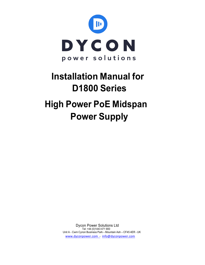

# **Installation Manual for D1800 Series High Power PoE Midspan Power Supply**

**Dycon Power Solutions Ltd** Tel: +44 (0)1443 471 900 Unit A - Cwm Cynon Business Park - Mountain Ash - CF45 4ER - UK www.dyconpower.com - info@dyconpower.com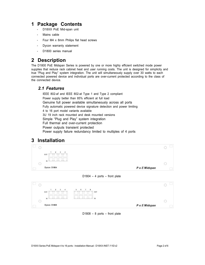# **1 Package Contents**

- D18XX PoE Mid-span unit
- Mains cable
- Four M4 x 8mm Philips flat head screws
- Dycon warranty statement
- D1800 series manual

# **2 Description**

The D1800 PoE Midspan Series is powered by one or more highly efficient switched mode power supplies that reduce rack cabinet heat and user running costs. The unit is designed for simplicity and true "Plug and Play" system integration. The unit will simultaneously supply over 30 watts to each connected powered device and individual ports are over-current protected according to the class of the connected device.

#### *2.1 Features*

 IEEE 802-af and IEEE 802-at Type 1 and Type 2 compliant Power supply better than 85% efficient at full load Genuine full power available simultaneously across all ports Fully automatic powered device signature detection and power limiting 4 to 16 port model variants available 3U 19 inch rack mounted and desk mounted versions Simple "Plug and Play" system integration Full thermal and over-current protection Power outputs transient protected Power supply failure redundancy limited to multiples of 4 ports

# **3 Installation**



 $D1804 - 4$  ports – front plate



D1808 – 8 ports – front plate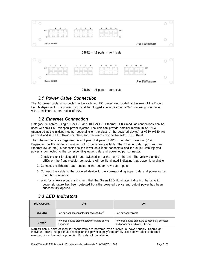

 $D1812 - 12$  ports – front plate



 $D1816 - 16$  ports – front plate

## *3.1 Power Cable Connection*

The AC power cable is connected to the switched IEC power inlet located at the rear of the Dycon PoE Midspan unit. The power cord must be plugged into an earthed 230V nominal power outlet, with a minimum current rating of 10A.

## *3.2 Ethernet Connection*

Category 5e cables using 10BASE-T and 100BASE-T Ethernet 8P8C modular connections can be used with this PoE midspan power injector. The unit can provide nominal maximum of ~34W (measured at the midspan output depending on the class of the powered device) at  $~54V$  ( $~630mA$ ) per port and is IEEE 802-at complaint and backwards compatible with IEEE 802-af.

The Ethernet ports are organised in multiples of 4 pairs of 8P8C modular connectors (RJ45). Depending on the model a maximum of 16 ports are available. The Ethernet data input (from an Ethernet switch etc.) is connected to the lower data input connectors and the output with injected power is connected to the corresponding upper data and power output connector.

- 1. Check the unit is plugged in and switched on at the rear of the unit. The yellow standby LEDs on the front modular connectors will be illuminated indicating that power is available.
- 2. Connect the Ethernet data cables to the bottom row data inputs.
- 3. Connect the cable to the powered device to the corresponding upper data and power output modular connector.
- 4. Wait for a few seconds and check that the Green LED illuminates indicating that a valid power signature has been detected from the powered device and output power has been successfully applied.

| <b>INDICATORS</b> | <b>OFF</b>                                                  | <b>ON</b>                                                                         |
|-------------------|-------------------------------------------------------------|-----------------------------------------------------------------------------------|
| <b>YELLOW</b>     | Port power not available, unit switched off <sup>1</sup>    | Port power available                                                              |
| <b>GREEN</b>      | Powered device disconnected or invalid device<br>plugged in | Powered device signature successfully detected<br>and power applied over Ethernet |

## *3.3 LED Indicators*

**Notes:**Each 4 pairs of modular connectors are powered by an individual power supply. Should an individual power supply fault develop or the power supply temporarily close down after a thermal overload, only four out a potential 16 ports will be affected.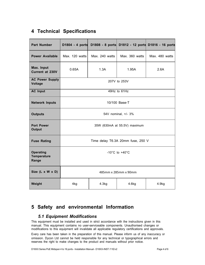# **4 Technical Specifications**

| <b>Part Number</b>                              | D1804 - 4 ports                      |                |                | D1808 - 8 ports D1812 - 12 ports D1816 - 16 ports |
|-------------------------------------------------|--------------------------------------|----------------|----------------|---------------------------------------------------|
| <b>Power Available</b>                          | Max. 120 watts                       | Max. 240 watts | Max. 360 watts | Max. 480 watts                                    |
| Max. Input<br>Current at 230V                   | 0.65A                                | 1.3A           | 1.95A          | 2.6A                                              |
| <b>AC Power Supply</b><br><b>Voltage</b>        | 207V to 253V                         |                |                |                                                   |
| <b>AC Input</b>                                 | 49Hz to 61Hz                         |                |                |                                                   |
| <b>Network Inputs</b>                           | 10/100 Base-T                        |                |                |                                                   |
| <b>Outputs</b>                                  | 54V nominal, +/- 3%                  |                |                |                                                   |
| <b>Port Power</b><br><b>Output</b>              | 35W (630mA at 55.5V) maximum         |                |                |                                                   |
| <b>Fuse Rating</b>                              | Time delay T6.3A 20mm fuse, 250 V    |                |                |                                                   |
| <b>Operating</b><br><b>Temperature</b><br>Range | -10 $^{\circ}$ C to +40 $^{\circ}$ C |                |                |                                                   |
| Size (L x W x D)                                | 485mm x 285mm x 90mm                 |                |                |                                                   |
| Weight                                          | 4kg                                  | 4.3kg          | 4.6kg          | 4.9kg                                             |

# **5 Safety and environmental Information**

## *5.1 Equipment Modifications*

This equipment must be installed and used in strict accordance with the instructions given in this manual. This equipment contains no user-serviceable components. Unauthorised changes or modifications to this equipment will invalidate all applicable regulatory certifications and approvals.

Every care has been taken in the preparation of this manual. Please inform us of any inaccuracy or omission. Dycon Ltd cannot be held responsible for any technical or typographical errors and reserves the right to make changes to the product and manuals without prior notice.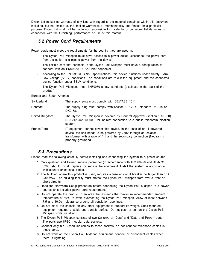Dycon Ltd makes no warranty of any kind with regard to the material contained within this document including, but not limited to, the implied warranties of merchantability and fitness for a particular purpose. Dycon Ltd shall not be liable nor responsible for incidental or consequential damages in connection with the furnishing, performance or use of this material.

## *5.2 Power Cord Requirements*

Power cords must meet the requirements for the country they are used in.

- The Dycon PoE Midspan must have access to a power outlet. Disconnect the power cord from the outlet, to eliminate power from the device.
- The flexible cord that connects to the Dycon PoE Midspan must have a configuration to connect with an EN60320/IEC320 inlet connector.
- According to the EN60950/IEC 950 specifications, this device functions under Safety Extra Low Voltage (SELV) conditions. The conditions are true if the equipment and the connected device function under SELV conditions.
- The Dycon PoE Midspans meet EN60950 safety standards (displayed in the back of the product).

Europe and South America

| Switzerland    | The supply plug must comply with SEV/ASE 1011.                                                                                                                                                                                              |  |
|----------------|---------------------------------------------------------------------------------------------------------------------------------------------------------------------------------------------------------------------------------------------|--|
| Denmark        | The supply plug must comply with section 107-2-D1, standard DK2-1a or<br>DK2-5a.                                                                                                                                                            |  |
| United Kingdom | The Dycon PoE Midspan is covered by General Approval (section 1.16.060),<br>NS/G/12345/J100003, for indirect connection to a public telecommunication<br>system.                                                                            |  |
| France/Peru    | IT equipment cannot power this device. In the case of an IT-powered<br>device, the unit needs to be powered by 230V through an isolation<br>transformer with a ratio of 1:1 and the secondary connection (Neutral) is<br>properly grounded. |  |

## *5.3 Precautions*

Please read the following carefully before installing and connecting the system to a power source.

- 1. Only qualified and trained service personnel (in accordance with IEC 60950 and AS/NZS 3260) should install, replace, or service the equipment. Install the system in accordance with country or national codes.
- 2. The building where this product is used, requires a fuse or circuit breaker no larger than 10A, 230 VAC. The building facility must protect the Dycon PoE Midspan from over-current or short-circuits.
- 3. Read the Hardware Setup procedure before connecting the Dycon PoE Midspan to a power source (this includes power cord requirements).
- 4. Do not operate the product in an area that exceeds the maximum recommended ambient temperature of 40°C to avoid overheating the Dycon PoE Midspan. Allow at least between 7.5 and 10.5cm clearance around all ventilation openings.
- 5. Do not stack the chassis on any other equipment to support its weight. Shelf-mounted equipment requires a stable and durable surface. Do not push or pull on the Dycon PoE Midspan while installing.
- 6. The Dycon PoE Midspan consists of two (2) rows of "Data" and "Data and Power" ports. The ports use 8P8C modular data sockets.
- 7. Connect only 8P8C modular cables to these sockets: do not connect telephone cables in these ports.
- 8. Do not work on the Dycon PoE Midspan equipment, connect or disconnect cables when there is lightning.